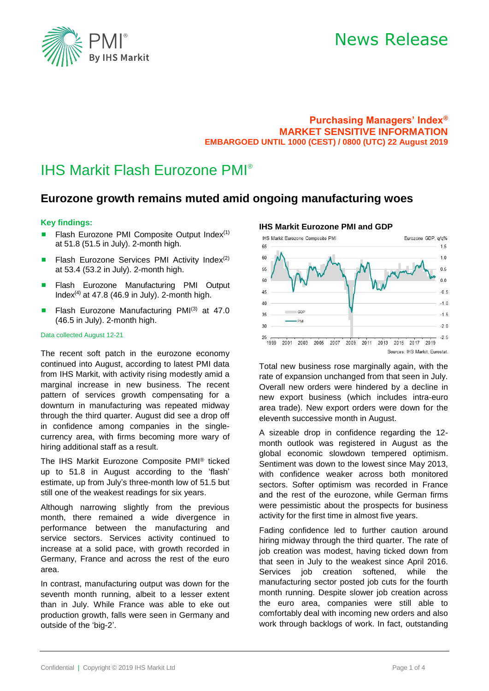

## News Release

## **Purchasing Managers' Index® MARKET SENSITIVE INFORMATION EMBARGOED UNTIL 1000 (CEST) / 0800 (UTC) 22 August 2019**

## IHS Markit Flash Eurozone PMI®

## **Eurozone growth remains muted amid ongoing manufacturing woes**

## **Key findings:**

- Flash Eurozone PMI Composite Output Index $(1)$ at 51.8 (51.5 in July). 2-month high.
- **E** Flash Eurozone Services PMI Activity Index<sup>(2)</sup> at 53.4 (53.2 in July). 2-month high.
- Flash Eurozone Manufacturing PMI Output Index<sup>(4)</sup> at 47.8 (46.9 in July). 2-month high.
- Flash Eurozone Manufacturing PM $I^{(3)}$  at 47.0 (46.5 in July). 2-month high.

#### Data collected August 12-21

The recent soft patch in the eurozone economy continued into August, according to latest PMI data from IHS Markit, with activity rising modestly amid a marginal increase in new business. The recent pattern of services growth compensating for a downturn in manufacturing was repeated midway through the third quarter. August did see a drop off in confidence among companies in the singlecurrency area, with firms becoming more wary of hiring additional staff as a result.

The IHS Markit Eurozone Composite PMI® ticked up to 51.8 in August according to the 'flash' estimate, up from July's three-month low of 51.5 but still one of the weakest readings for six years.

Although narrowing slightly from the previous month, there remained a wide divergence in performance between the manufacturing and service sectors. Services activity continued to increase at a solid pace, with growth recorded in Germany, France and across the rest of the euro area.

In contrast, manufacturing output was down for the seventh month running, albeit to a lesser extent than in July. While France was able to eke out production growth, falls were seen in Germany and outside of the 'big-2'.

## **IHS Markit Eurozone PMI and GDP**



Total new business rose marginally again, with the rate of expansion unchanged from that seen in July. Overall new orders were hindered by a decline in new export business (which includes intra-euro area trade). New export orders were down for the eleventh successive month in August.

A sizeable drop in confidence regarding the 12 month outlook was registered in August as the global economic slowdown tempered optimism. Sentiment was down to the lowest since May 2013, with confidence weaker across both monitored sectors. Softer optimism was recorded in France and the rest of the eurozone, while German firms were pessimistic about the prospects for business activity for the first time in almost five years.

Fading confidence led to further caution around hiring midway through the third quarter. The rate of job creation was modest, having ticked down from that seen in July to the weakest since April 2016. Services job creation softened, while the manufacturing sector posted job cuts for the fourth month running. Despite slower job creation across the euro area, companies were still able to comfortably deal with incoming new orders and also work through backlogs of work. In fact, outstanding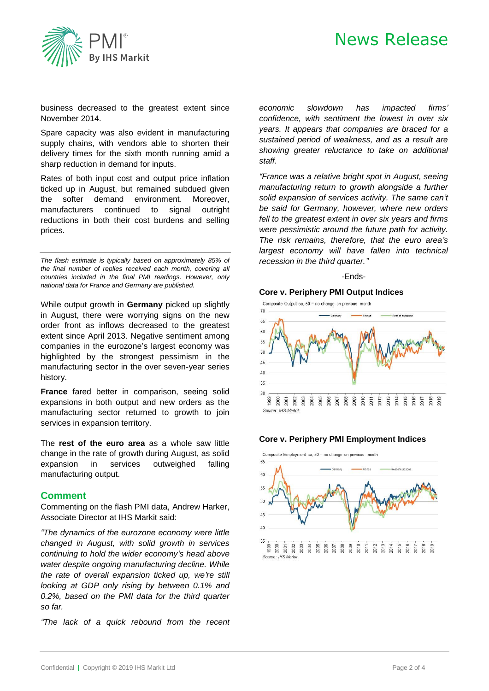

# News Release

business decreased to the greatest extent since November 2014.

Spare capacity was also evident in manufacturing supply chains, with vendors able to shorten their delivery times for the sixth month running amid a sharp reduction in demand for inputs.

Rates of both input cost and output price inflation ticked up in August, but remained subdued given the softer demand environment. Moreover, manufacturers continued to signal outright reductions in both their cost burdens and selling prices.

*The flash estimate is typically based on approximately 85% of the final number of replies received each month, covering all countries included in the final PMI readings. However, only national data for France and Germany are published.* 

While output growth in **Germany** picked up slightly in August, there were worrying signs on the new order front as inflows decreased to the greatest extent since April 2013. Negative sentiment among companies in the eurozone's largest economy was highlighted by the strongest pessimism in the manufacturing sector in the over seven-year series history.

**France** fared better in comparison, seeing solid expansions in both output and new orders as the manufacturing sector returned to growth to join services in expansion territory.

The **rest of the euro area** as a whole saw little change in the rate of growth during August, as solid expansion in services outweighed falling manufacturing output.

## **Comment**

Commenting on the flash PMI data, Andrew Harker, Associate Director at IHS Markit said:

*"The dynamics of the eurozone economy were little changed in August, with solid growth in services continuing to hold the wider economy's head above water despite ongoing manufacturing decline. While the rate of overall expansion ticked up, we're still looking at GDP only rising by between 0.1% and 0.2%, based on the PMI data for the third quarter so far.*

*"The lack of a quick rebound from the recent* 

*economic slowdown has impacted firms' confidence, with sentiment the lowest in over six years. It appears that companies are braced for a sustained period of weakness, and as a result are showing greater reluctance to take on additional staff.*

*"France was a relative bright spot in August, seeing manufacturing return to growth alongside a further solid expansion of services activity. The same can't be said for Germany, however, where new orders fell to the greatest extent in over six years and firms were pessimistic around the future path for activity. The risk remains, therefore, that the euro area's largest economy will have fallen into technical recession in the third quarter."*

### *-*Ends-

### **Core v. Periphery PMI Output Indices**



### **Core v. Periphery PMI Employment Indices**

Composite Employment sa, 50 = no change on previous month

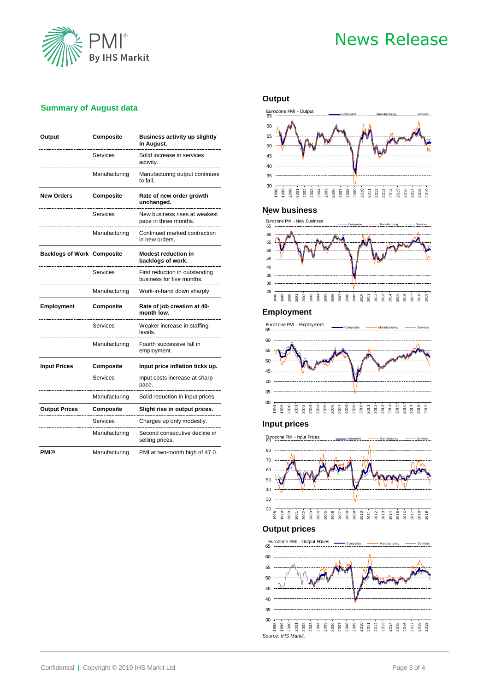

# News Release

## **Summary of August data**

| Output                            | Composite     | <b>Business activity up slightly</b><br>in August.          |  |
|-----------------------------------|---------------|-------------------------------------------------------------|--|
|                                   | Services      | Solid increase in services<br>activity.                     |  |
|                                   | Manufacturing | Manufacturing output continues<br>to fall.                  |  |
| <b>New Orders</b>                 | Composite     | Rate of new order growth<br>unchanged.                      |  |
|                                   | Services      | New business rises at weakest<br>pace in three months.      |  |
|                                   | Manufacturing | Continued marked contraction<br>in new orders.              |  |
| <b>Backlogs of Work Composite</b> |               | <b>Modest reduction in</b><br>backlogs of work.             |  |
|                                   | Services      | First reduction in outstanding<br>business for five months. |  |
|                                   | Manufacturing | Work-in-hand down sharply.                                  |  |
| <b>Employment</b>                 | Composite     | Rate of job creation at 40-<br>month low.                   |  |
|                                   | Services      | Weaker increase in staffing<br>levels.                      |  |
|                                   | Manufacturing |                                                             |  |
|                                   |               | Fourth successive fall in<br>employment.                    |  |
| <b>Input Prices</b>               | Composite     | Input price inflation ticks up.                             |  |
|                                   | Services      | Input costs increase at sharp<br>pace.                      |  |
|                                   | Manufacturing | Solid reduction in input prices.                            |  |
| <b>Output Prices</b>              | Composite     | Slight rise in output prices.                               |  |
|                                   | Services      | Charges up only modestly.                                   |  |
|                                   | Manufacturing | Second consecutive decline in<br>selling prices.            |  |

## **Output**



## **New business** E



## **Employment**

 Eurozone PMI - Employment ر<br>Composite\_\_\_\_<del>\_\_\_\_\_\_</del>\_Manufacturing \_\_\_<del>\_\_\_\_\_</del>\_\_Services



## **Input prices**



### **Output prices**